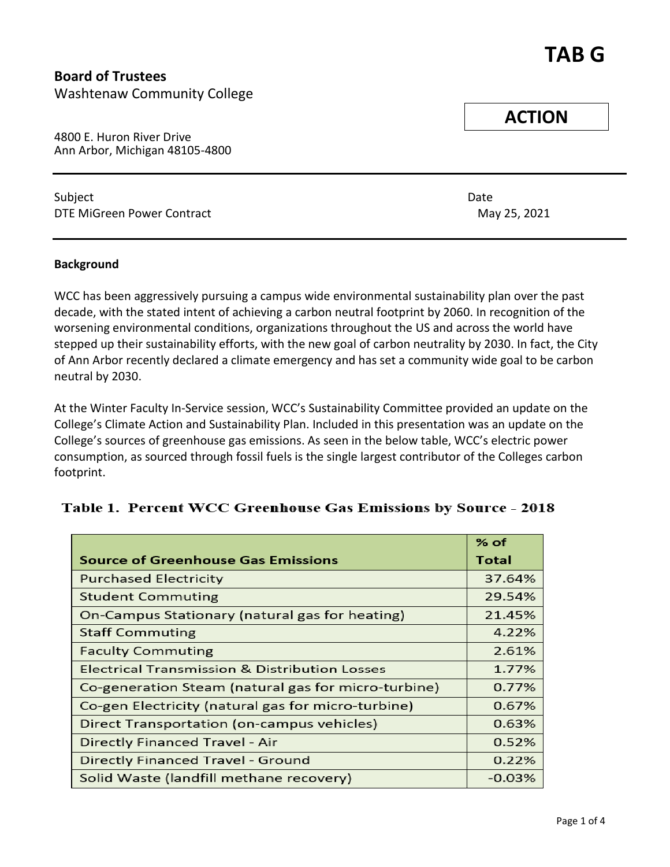# **TAB G**

**Board of Trustees** Washtenaw Community College

4800 E. Huron River Drive Ann Arbor, Michigan 48105-4800

Subject **Date** DTE MiGreen Power Contract **May 25, 2021** 

#### **Background**

WCC has been aggressively pursuing a campus wide environmental sustainability plan over the past decade, with the stated intent of achieving a carbon neutral footprint by 2060. In recognition of the worsening environmental conditions, organizations throughout the US and across the world have stepped up their sustainability efforts, with the new goal of carbon neutrality by 2030. In fact, the City of Ann Arbor recently declared a climate emergency and has set a community wide goal to be carbon neutral by 2030.

At the Winter Faculty In-Service session, WCC's Sustainability Committee provided an update on the College's Climate Action and Sustainability Plan. Included in this presentation was an update on the College's sources of greenhouse gas emissions. As seen in the below table, WCC's electric power consumption, as sourced through fossil fuels is the single largest contributor of the Colleges carbon footprint.

|                                                          | % of     |
|----------------------------------------------------------|----------|
| <b>Source of Greenhouse Gas Emissions</b>                | Total    |
| <b>Purchased Electricity</b>                             | 37.64%   |
| <b>Student Commuting</b>                                 | 29.54%   |
| On-Campus Stationary (natural gas for heating)           | 21.45%   |
| <b>Staff Commuting</b>                                   | 4.22%    |
| <b>Faculty Commuting</b>                                 | 2.61%    |
| <b>Electrical Transmission &amp; Distribution Losses</b> | 1.77%    |
| Co-generation Steam (natural gas for micro-turbine)      | 0.77%    |
| Co-gen Electricity (natural gas for micro-turbine)       | 0.67%    |
| Direct Transportation (on-campus vehicles)               | 0.63%    |
| Directly Financed Travel - Air                           | 0.52%    |
| Directly Financed Travel - Ground                        | 0.22%    |
| Solid Waste (landfill methane recovery)                  | $-0.03%$ |

### Table 1. Percent WCC Greenhouse Gas Emissions by Source - 2018

**ACTION**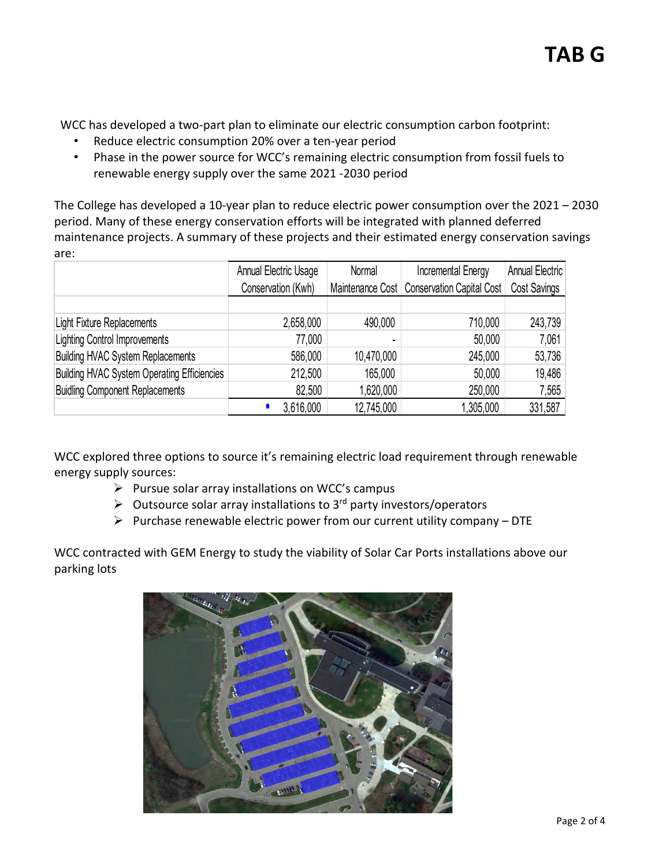WCC has developed a two-part plan to eliminate our electric consumption carbon footprint:

- Reduce electric consumption 20% over a ten-year period
- Phase in the power source for WCC's remaining electric consumption from fossil fuels to renewable energy supply over the same 2021 -2030 period

The College has developed a 10-year plan to reduce electric power consumption over the 2021 – 2030 period. Many of these energy conservation efforts will be integrated with planned deferred maintenance projects. A summary of these projects and their estimated energy conservation savings are:

|                                                    | Annual Electric Usage | Normal     | <b>Incremental Energy</b>                    | <b>Annual Electric</b> |
|----------------------------------------------------|-----------------------|------------|----------------------------------------------|------------------------|
|                                                    | Conservation (Kwh)    |            | Maintenance Cost   Conservation Capital Cost | <b>Cost Savings</b>    |
|                                                    |                       |            |                                              |                        |
| Light Fixture Replacements                         | 2,658,000             | 490,000    | 710,000                                      | 243,739                |
| <b>Lighting Control Improvements</b>               | 77,000                |            | 50,000                                       | 7,061                  |
| <b>Building HVAC System Replacements</b>           | 586,000               | 10,470,000 | 245,000                                      | 53,736                 |
| <b>Building HVAC System Operating Efficiencies</b> | 212,500               | 165,000    | 50,000                                       | 19,486                 |
| <b>Buidling Component Replacements</b>             | 82,500                | 1,620,000  | 250,000                                      | 7,565                  |
|                                                    | 3,616,000             | 12,745,000 | 1,305,000                                    | 331,587                |

WCC explored three options to source it's remaining electric load requirement through renewable energy supply sources:

- $\triangleright$  Pursue solar array installations on WCC's campus
- $\triangleright$  Outsource solar array installations to 3<sup>rd</sup> party investors/operators
- $\triangleright$  Purchase renewable electric power from our current utility company DTE

WCC contracted with GEM Energy to study the viability of Solar Car Ports installations above our parking lots

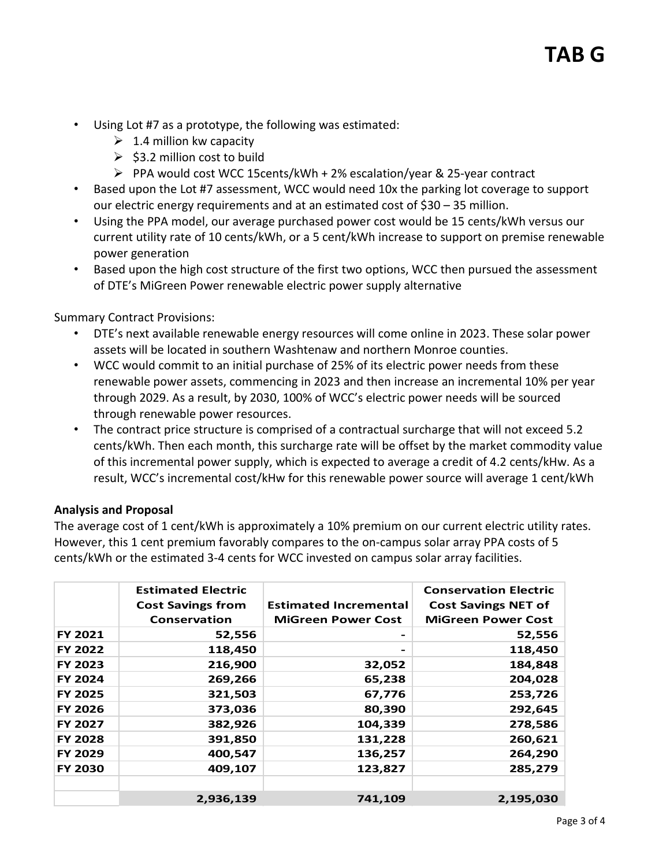- Using Lot #7 as a prototype, the following was estimated:
	- $\geq 1.4$  million kw capacity
	- $\ge$  \$3.2 million cost to build
	- $\triangleright$  PPA would cost WCC 15cents/kWh + 2% escalation/year & 25-year contract
- Based upon the Lot #7 assessment, WCC would need 10x the parking lot coverage to support our electric energy requirements and at an estimated cost of \$30 – 35 million.
- Using the PPA model, our average purchased power cost would be 15 cents/kWh versus our current utility rate of 10 cents/kWh, or a 5 cent/kWh increase to support on premise renewable power generation
- Based upon the high cost structure of the first two options, WCC then pursued the assessment of DTE's MiGreen Power renewable electric power supply alternative

Summary Contract Provisions:

- DTE's next available renewable energy resources will come online in 2023. These solar power assets will be located in southern Washtenaw and northern Monroe counties.
- WCC would commit to an initial purchase of 25% of its electric power needs from these renewable power assets, commencing in 2023 and then increase an incremental 10% per year through 2029. As a result, by 2030, 100% of WCC's electric power needs will be sourced through renewable power resources.
- The contract price structure is comprised of a contractual surcharge that will not exceed 5.2 cents/kWh. Then each month, this surcharge rate will be offset by the market commodity value of this incremental power supply, which is expected to average a credit of 4.2 cents/kHw. As a result, WCC's incremental cost/kHw for this renewable power source will average 1 cent/kWh

#### **Analysis and Proposal**

The average cost of 1 cent/kWh is approximately a 10% premium on our current electric utility rates. However, this 1 cent premium favorably compares to the on-campus solar array PPA costs of 5 cents/kWh or the estimated 3-4 cents for WCC invested on campus solar array facilities.

|                | <b>Estimated Electric</b><br><b>Cost Savings from</b> | <b>Estimated Incremental</b> | <b>Conservation Electric</b><br><b>Cost Savings NET of</b> |
|----------------|-------------------------------------------------------|------------------------------|------------------------------------------------------------|
|                | <b>Conservation</b>                                   | <b>MiGreen Power Cost</b>    | <b>MiGreen Power Cost</b>                                  |
| FY 2021        | 52,556                                                |                              | 52,556                                                     |
| <b>FY 2022</b> | 118,450                                               |                              | 118,450                                                    |
| FY 2023        | 216,900                                               | 32,052                       | 184,848                                                    |
| <b>FY 2024</b> | 269,266                                               | 65,238                       | 204,028                                                    |
| <b>FY 2025</b> | 321,503                                               | 67,776                       | 253,726                                                    |
| <b>FY 2026</b> | 373,036                                               | 80,390                       | 292,645                                                    |
| <b>FY 2027</b> | 382,926                                               | 104,339                      | 278,586                                                    |
| <b>FY 2028</b> | 391,850                                               | 131,228                      | 260,621                                                    |
| FY 2029        | 400,547                                               | 136,257                      | 264,290                                                    |
| <b>FY 2030</b> | 409,107                                               | 123,827                      | 285,279                                                    |
|                |                                                       |                              |                                                            |
|                | 2,936,139                                             | 741,109                      | 2,195,030                                                  |